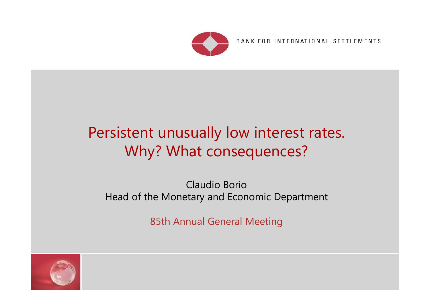

BANK FOR INTERNATIONAL SETTLEMENTS

# Persistent unusually low interest rates. Why? What consequences?

#### Claudio BorioHead of the Monetary and Economic Department

85th Annual General Meeting

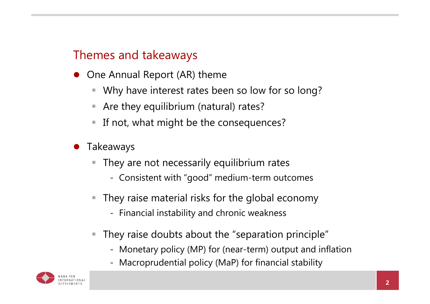# Themes and takeaways

- One Annual Report (AR) theme
	- $\Box$ Why have interest rates been so low for so long?
	- $\mathcal{L}_{\mathcal{A}}$ Are they equilibrium (natural) rates?
	- $\Box$ If not, what might be the consequences?
- 0 Takeaways
	- They are not necessarily equilibrium rates
		- Consistent with "good" medium-term outcomes
	- $\mathcal{L}_{\mathcal{A}}$  They raise material risks for the global economy
		- Financial instability and chronic weakness
	- $\mathcal{L}_{\mathcal{A}}$  They raise doubts about the "separation principle"
		- Monetary policy (MP) for (near-term) output and inflation
		- Macroprudential policy (MaP) for financial stability

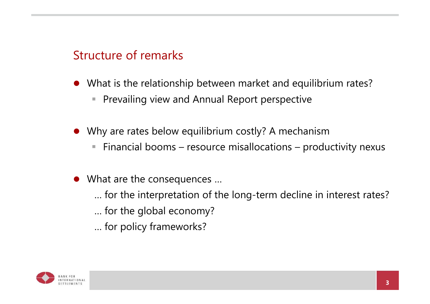# Structure of remarks

- What is the relationship between market and equilibrium rates?
	- $\blacksquare$ Prevailing view and Annual Report perspective
- Why are rates below equilibrium costly? A mechanism
	- $\blacksquare$ Financial booms – resource misallocations – productivity nexus
- What are the consequences …
	- … for the interpretation of the long-term decline in interest rates?
	- … for the global economy?
	- … for policy frameworks?

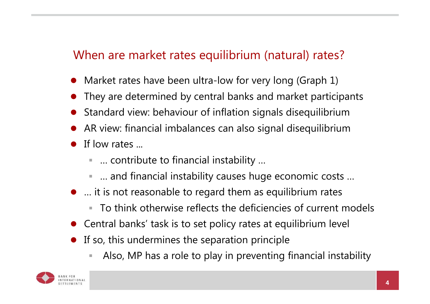# When are market rates equilibrium (natural) rates?

- $\bullet$ Market rates have been ultra-low for very long (Graph 1)
- $\bullet$ They are determined by central banks and market participants
- $\bullet$ Standard view: behaviour of inflation signals disequilibrium
- $\bullet$ AR view: financial imbalances can also signal disequilibrium
- $\bullet$  If low rates ...
	- … contribute to financial instability ...
	- … and financial instability causes huge economic costs …
- … it is not reasonable to regard them as equilibrium rates
	- a. To think otherwise reflects the deficiencies of current models
- Central banks' task is to set policy rates at equilibrium level
- $\bullet$  If so, this undermines the separation principle
	- Also, MP has a role to play in preventing financial instability

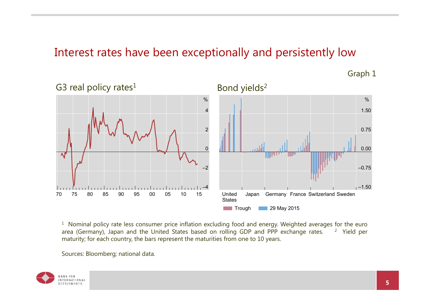#### Interest rates have been exceptionally and persistently low



Graph 1

 $^{\rm 1}$  Nominal policy rate less consumer price inflation excluding food and energy. Weighted averages for the euro area (Germany), Japan and the United States based on rolling GDP and PPP exchange rates. <sup>2</sup> Yield per maturity; for each country, the bars represent the maturities from one to 10 years.

Sources: Bloomberg; national data.

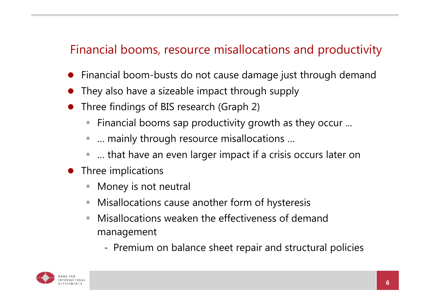# Financial booms, resource misallocations and productivity

- $\bullet$ Financial boom-busts do not cause damage just through demand
- $\bullet$ They also have a sizeable impact through supply
- $\bullet$  Three findings of BIS research (Graph 2)
	- Financial booms sap productivity growth as they occur ...
	- $\mathcal{L}_{\mathcal{A}}$ … mainly through resource misallocations …
	- $\Box$ … that have an even larger impact if a crisis occurs later on
- $\bullet$  Three implications
	- Τ Money is not neutral
	- Misallocations cause another form of hysteresis
	- **II**  Misallocations weaken the effectiveness of demand management
		- -Premium on balance sheet repair and structural policies

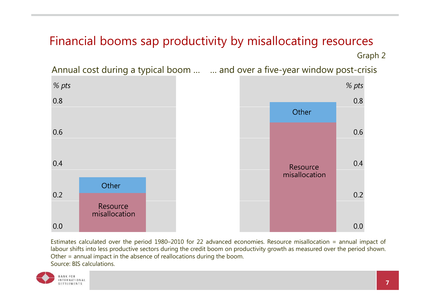#### Financial booms sap productivity by misallocating resources Graph 2

Annual cost during a typical boom … … and over a five-year window post-crisis



Estimates calculated over the period 1980–2010 for 22 advanced economies. Resource misallocation <sup>=</sup> annual impact of labour shifts into less productive sectors during the credit boom on productivity growth as measured over the period shown. Other <sup>=</sup> annual impact in the absence of reallocations during the boom. Source: BIS calculations.

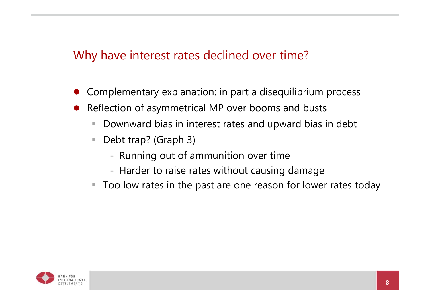# Why have interest rates declined over time?

- $\bullet$ Complementary explanation: in part a disequilibrium process
- 0 Reflection of asymmetrical MP over booms and busts
	- $\mathbb{R}^n$ Downward bias in interest rates and upward bias in debt
	- $\overline{\phantom{a}}$  Debt trap? (Graph 3)
		- Running out of ammunition over time
		- Harder to raise rates without causing damage
	- $\blacksquare$ Too low rates in the past are one reason for lower rates today

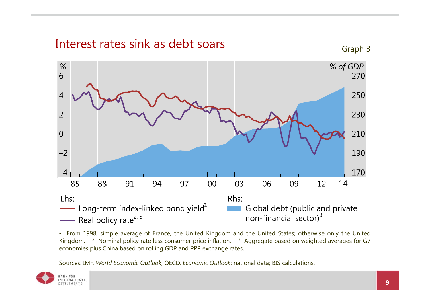

 $^{\rm 1}$  From 1998, simple average of France, the United Kingdom and the United States; otherwise only the United Kingdom. <sup>2</sup> Nominal policy rate less consumer price inflation. <sup>3</sup> Aggregate based on weighted averages for G7 economies plus China based on rolling GDP and PPP exchange rates.

Sources: IMF, *World Economic Outlook*; OECD, *Economic Outlook*; national data; BIS calculations.

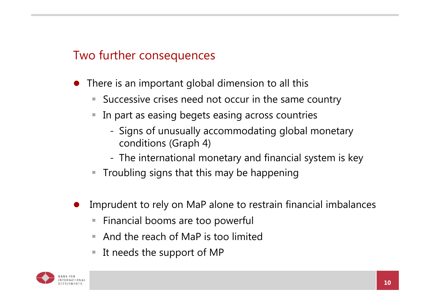# Two further consequences

- 0 There is an important global dimension to all this
	- $\overline{\phantom{a}}$ Successive crises need not occur in the same country
	- In part as easing begets easing across countries
		- Signs of unusually accommodating global monetary conditions (Graph 4)
		- The international monetary and financial system is key
	- $\blacksquare$  Troubling signs that this may be happening
- 0 Imprudent to rely on MaP alone to restrain financial imbalances
	- $\blacksquare$ Financial booms are too powerful
	- And the reach of MaP is too limited
	- $\Box$ It needs the support of MP